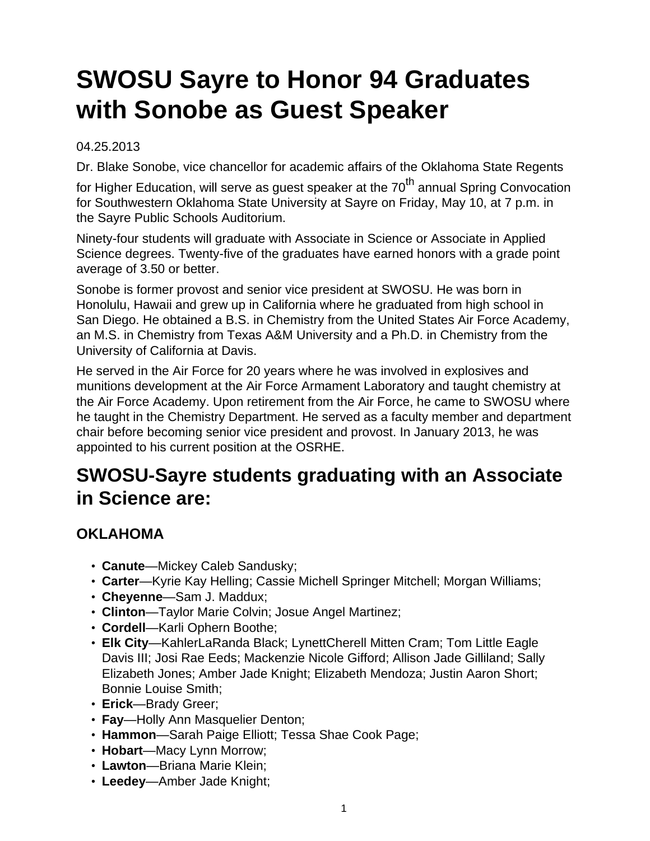# **SWOSU Sayre to Honor 94 Graduates with Sonobe as Guest Speaker**

#### 04.25.2013

Dr. Blake Sonobe, vice chancellor for academic affairs of the Oklahoma State Regents

for Higher Education, will serve as guest speaker at the  $70<sup>th</sup>$  annual Spring Convocation for Southwestern Oklahoma State University at Sayre on Friday, May 10, at 7 p.m. in the Sayre Public Schools Auditorium.

Ninety-four students will graduate with Associate in Science or Associate in Applied Science degrees. Twenty-five of the graduates have earned honors with a grade point average of 3.50 or better.

Sonobe is former provost and senior vice president at SWOSU. He was born in Honolulu, Hawaii and grew up in California where he graduated from high school in San Diego. He obtained a B.S. in Chemistry from the United States Air Force Academy, an M.S. in Chemistry from Texas A&M University and a Ph.D. in Chemistry from the University of California at Davis.

He served in the Air Force for 20 years where he was involved in explosives and munitions development at the Air Force Armament Laboratory and taught chemistry at the Air Force Academy. Upon retirement from the Air Force, he came to SWOSU where he taught in the Chemistry Department. He served as a faculty member and department chair before becoming senior vice president and provost. In January 2013, he was appointed to his current position at the OSRHE.

## **SWOSU-Sayre students graduating with an Associate in Science are:**

#### **OKLAHOMA**

- **Canute**—Mickey Caleb Sandusky;
- **Carter**—Kyrie Kay Helling; Cassie Michell Springer Mitchell; Morgan Williams;
- **Cheyenne**—Sam J. Maddux;
- **Clinton**—Taylor Marie Colvin; Josue Angel Martinez;
- **Cordell**—Karli Ophern Boothe;
- **Elk City**—KahlerLaRanda Black; LynettCherell Mitten Cram; Tom Little Eagle Davis III; Josi Rae Eeds; Mackenzie Nicole Gifford; Allison Jade Gilliland; Sally Elizabeth Jones; Amber Jade Knight; Elizabeth Mendoza; Justin Aaron Short; Bonnie Louise Smith;
- **Erick**—Brady Greer;
- **Fay**—Holly Ann Masquelier Denton;
- **Hammon**—Sarah Paige Elliott; Tessa Shae Cook Page;
- **Hobart**—Macy Lynn Morrow;
- **Lawton**—Briana Marie Klein;
- **Leedey**—Amber Jade Knight;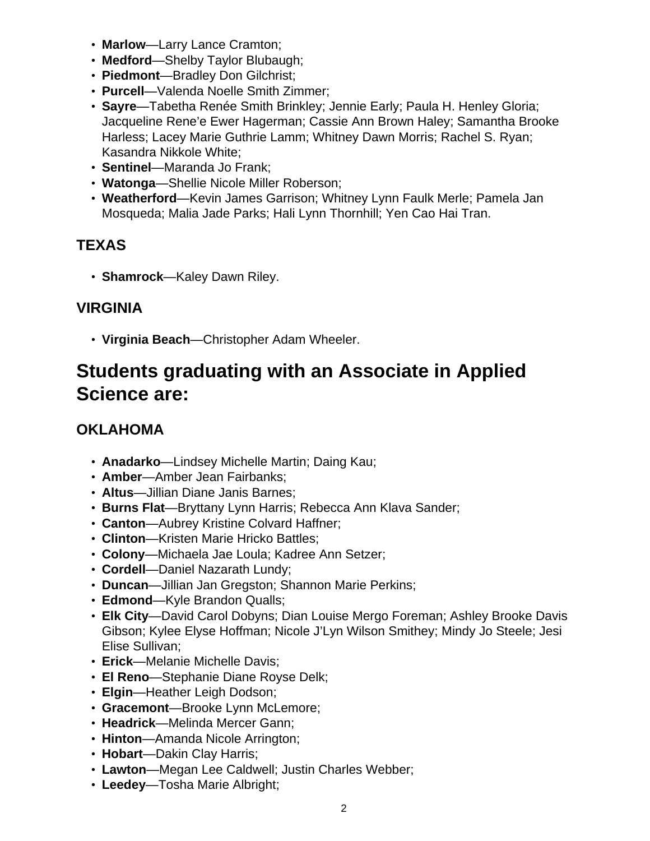- **Marlow**—Larry Lance Cramton;
- **Medford**—Shelby Taylor Blubaugh;
- **Piedmont**—Bradley Don Gilchrist;
- **Purcell**—Valenda Noelle Smith Zimmer;
- **Sayre**—Tabetha Renée Smith Brinkley; Jennie Early; Paula H. Henley Gloria; Jacqueline Rene'e Ewer Hagerman; Cassie Ann Brown Haley; Samantha Brooke Harless; Lacey Marie Guthrie Lamm; Whitney Dawn Morris; Rachel S. Ryan; Kasandra Nikkole White;
- **Sentinel**—Maranda Jo Frank;
- **Watonga**—Shellie Nicole Miller Roberson;
- **Weatherford**—Kevin James Garrison; Whitney Lynn Faulk Merle; Pamela Jan Mosqueda; Malia Jade Parks; Hali Lynn Thornhill; Yen Cao Hai Tran.

#### **TEXAS**

• **Shamrock**—Kaley Dawn Riley.

#### **VIRGINIA**

• **Virginia Beach**—Christopher Adam Wheeler.

## **Students graduating with an Associate in Applied Science are:**

#### **OKLAHOMA**

- **Anadarko**—Lindsey Michelle Martin; Daing Kau;
- **Amber**—Amber Jean Fairbanks;
- **Altus**—Jillian Diane Janis Barnes;
- **Burns Flat**—Bryttany Lynn Harris; Rebecca Ann Klava Sander;
- **Canton**—Aubrey Kristine Colvard Haffner;
- **Clinton**—Kristen Marie Hricko Battles;
- **Colony**—Michaela Jae Loula; Kadree Ann Setzer;
- **Cordell**—Daniel Nazarath Lundy;
- **Duncan**—Jillian Jan Gregston; Shannon Marie Perkins;
- **Edmond**—Kyle Brandon Qualls;
- **Elk City**—David Carol Dobyns; Dian Louise Mergo Foreman; Ashley Brooke Davis Gibson; Kylee Elyse Hoffman; Nicole J'Lyn Wilson Smithey; Mindy Jo Steele; Jesi Elise Sullivan;
- **Erick**—Melanie Michelle Davis;
- **El Reno**—Stephanie Diane Royse Delk;
- **Elgin**—Heather Leigh Dodson;
- **Gracemont**—Brooke Lynn McLemore;
- **Headrick**—Melinda Mercer Gann;
- **Hinton**—Amanda Nicole Arrington;
- **Hobart**—Dakin Clay Harris;
- **Lawton**—Megan Lee Caldwell; Justin Charles Webber;
- **Leedey**—Tosha Marie Albright;